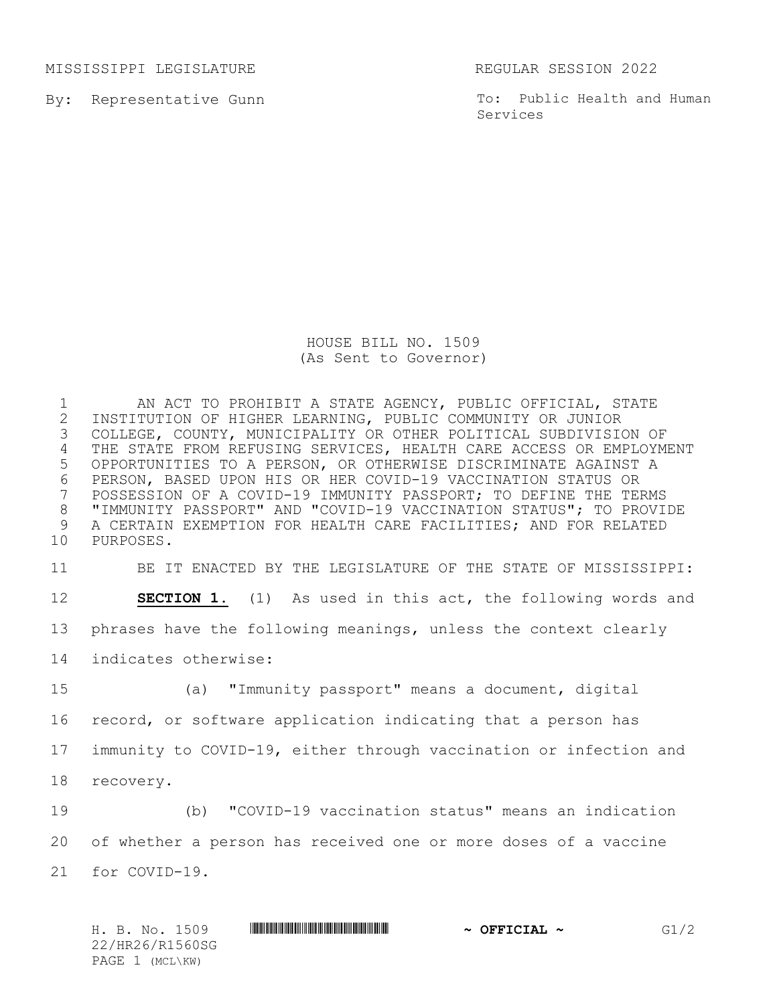MISSISSIPPI LEGISLATURE REGULAR SESSION 2022

By: Representative Gunn

To: Public Health and Human Services

HOUSE BILL NO. 1509 (As Sent to Governor)

 AN ACT TO PROHIBIT A STATE AGENCY, PUBLIC OFFICIAL, STATE 2 INSTITUTION OF HIGHER LEARNING, PUBLIC COMMUNITY OR JUNIOR<br>3 COLLEGE, COUNTY, MUNICIPALITY OR OTHER POLITICAL SUBDIVISIO COLLEGE, COUNTY, MUNICIPALITY OR OTHER POLITICAL SUBDIVISION OF THE STATE FROM REFUSING SERVICES, HEALTH CARE ACCESS OR EMPLOYMENT OPPORTUNITIES TO A PERSON, OR OTHERWISE DISCRIMINATE AGAINST A 6 PERSON, BASED UPON HIS OR HER COVID-19 VACCINATION STATUS OR<br>7 POSSESSION OF A COVID-19 IMMUNITY PASSPORT; TO DEFINE THE TEI POSSESSION OF A COVID-19 IMMUNITY PASSPORT; TO DEFINE THE TERMS "IMMUNITY PASSPORT" AND "COVID-19 VACCINATION STATUS"; TO PROVIDE A CERTAIN EXEMPTION FOR HEALTH CARE FACILITIES; AND FOR RELATED PURPOSES.

 BE IT ENACTED BY THE LEGISLATURE OF THE STATE OF MISSISSIPPI: **SECTION 1.** (1) As used in this act, the following words and phrases have the following meanings, unless the context clearly indicates otherwise: (a) "Immunity passport" means a document, digital

 record, or software application indicating that a person has immunity to COVID-19, either through vaccination or infection and recovery.

 (b) "COVID-19 vaccination status" means an indication of whether a person has received one or more doses of a vaccine for COVID-19.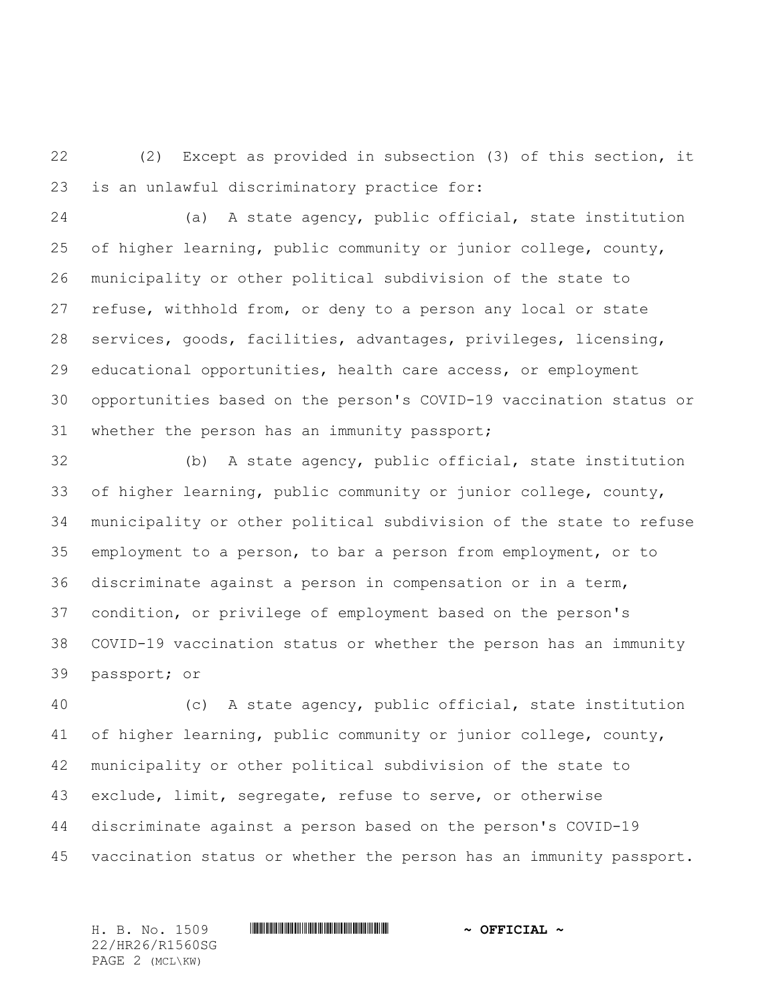(2) Except as provided in subsection (3) of this section, it is an unlawful discriminatory practice for:

 (a) A state agency, public official, state institution of higher learning, public community or junior college, county, municipality or other political subdivision of the state to refuse, withhold from, or deny to a person any local or state services, goods, facilities, advantages, privileges, licensing, educational opportunities, health care access, or employment opportunities based on the person's COVID-19 vaccination status or whether the person has an immunity passport;

 (b) A state agency, public official, state institution of higher learning, public community or junior college, county, municipality or other political subdivision of the state to refuse employment to a person, to bar a person from employment, or to discriminate against a person in compensation or in a term, condition, or privilege of employment based on the person's COVID-19 vaccination status or whether the person has an immunity passport; or

 (c) A state agency, public official, state institution of higher learning, public community or junior college, county, municipality or other political subdivision of the state to exclude, limit, segregate, refuse to serve, or otherwise discriminate against a person based on the person's COVID-19 vaccination status or whether the person has an immunity passport.

H. B. No. 1509 \*HR26/R1560SG\* **~ OFFICIAL ~** 22/HR26/R1560SG PAGE 2 (MCL\KW)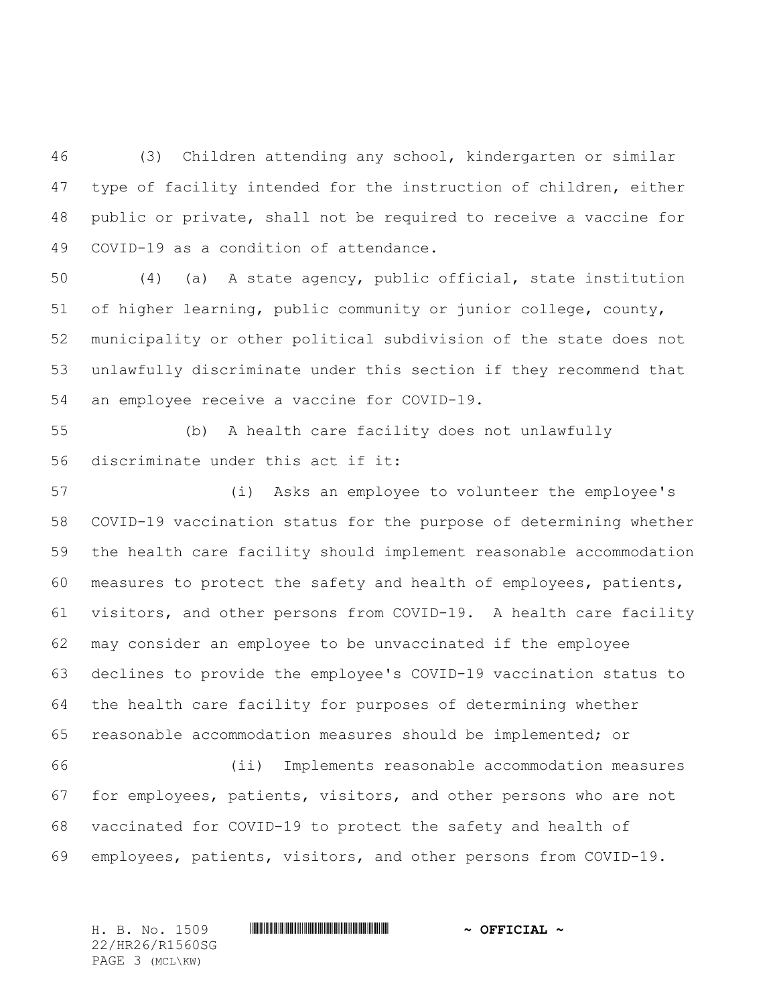(3) Children attending any school, kindergarten or similar type of facility intended for the instruction of children, either public or private, shall not be required to receive a vaccine for COVID-19 as a condition of attendance.

 (4) (a) A state agency, public official, state institution of higher learning, public community or junior college, county, municipality or other political subdivision of the state does not unlawfully discriminate under this section if they recommend that an employee receive a vaccine for COVID-19.

 (b) A health care facility does not unlawfully discriminate under this act if it:

 (i) Asks an employee to volunteer the employee's COVID-19 vaccination status for the purpose of determining whether the health care facility should implement reasonable accommodation measures to protect the safety and health of employees, patients, visitors, and other persons from COVID-19. A health care facility may consider an employee to be unvaccinated if the employee declines to provide the employee's COVID-19 vaccination status to the health care facility for purposes of determining whether reasonable accommodation measures should be implemented; or (ii) Implements reasonable accommodation measures

 for employees, patients, visitors, and other persons who are not vaccinated for COVID-19 to protect the safety and health of employees, patients, visitors, and other persons from COVID-19.

H. B. No. 1509 \*HR26/R1560SG\* **~ OFFICIAL ~** 22/HR26/R1560SG PAGE 3 (MCL\KW)